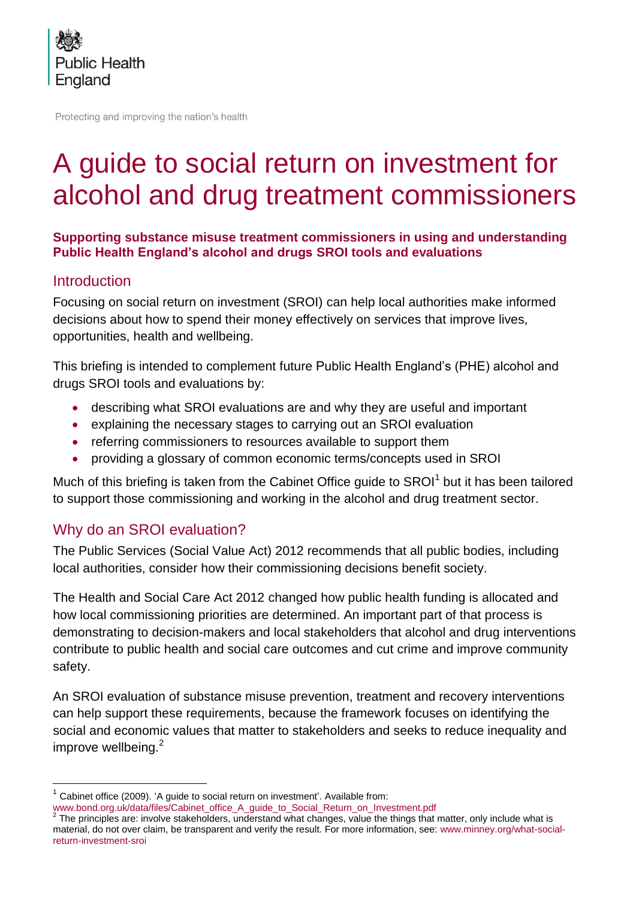

Protecting and improving the nation's health

# A guide to social return on investment for alcohol and drug treatment commissioners

#### **Supporting substance misuse treatment commissioners in using and understanding Public Health England's alcohol and drugs SROI tools and evaluations**

### **Introduction**

 $\overline{a}$ 

Focusing on social return on investment (SROI) can help local authorities make informed decisions about how to spend their money effectively on services that improve lives, opportunities, health and wellbeing.

This briefing is intended to complement future Public Health England's (PHE) alcohol and drugs SROI tools and evaluations by:

- describing what SROI evaluations are and why they are useful and important
- explaining the necessary stages to carrying out an SROI evaluation
- referring commissioners to resources available to support them
- providing a glossary of common economic terms/concepts used in SROI

Much of this briefing is taken from the Cabinet Office guide to  $SROI<sup>1</sup>$  but it has been tailored to support those commissioning and working in the alcohol and drug treatment sector.

## Why do an SROI evaluation?

The Public Services (Social Value Act) 2012 recommends that all public bodies, including local authorities, consider how their commissioning decisions benefit society.

The Health and Social Care Act 2012 changed how public health funding is allocated and how local commissioning priorities are determined. An important part of that process is demonstrating to decision-makers and local stakeholders that alcohol and drug interventions contribute to public health and social care outcomes and cut crime and improve community safety.

An SROI evaluation of substance misuse prevention, treatment and recovery interventions can help support these requirements, because the framework focuses on identifying the social and economic values that matter to stakeholders and seeks to reduce inequality and improve wellbeing. $2$ 

 $1$  Cabinet office (2009). 'A guide to social return on investment'. Available from:

[www.bond.org.uk/data/files/Cabinet\\_office\\_A\\_guide\\_to\\_Social\\_Return\\_on\\_Investment.pdf](file:///C:/Users/virginia.musto/AppData/Local/Microsoft/Windows/Temporary%20Internet%20Files/Content.Outlook/D0O0VCG1/www.bond.org.uk/data/files/Cabinet_office_A_guide_to_Social_Return_on_Investment.pdf)

 $2$  The principles are: involve stakeholders, understand what changes, value the things that matter, only include what is material, do not over claim, be transparent and verify the result. For more information, see: [www.minney.org/what-social](file:///C:/Users/virginia.musto/AppData/Local/Microsoft/Windows/Temporary%20Internet%20Files/Content.Outlook/D0O0VCG1/www.minney.org/what-social-return-investment-sroi)[return-investment-sroi](file:///C:/Users/virginia.musto/AppData/Local/Microsoft/Windows/Temporary%20Internet%20Files/Content.Outlook/D0O0VCG1/www.minney.org/what-social-return-investment-sroi)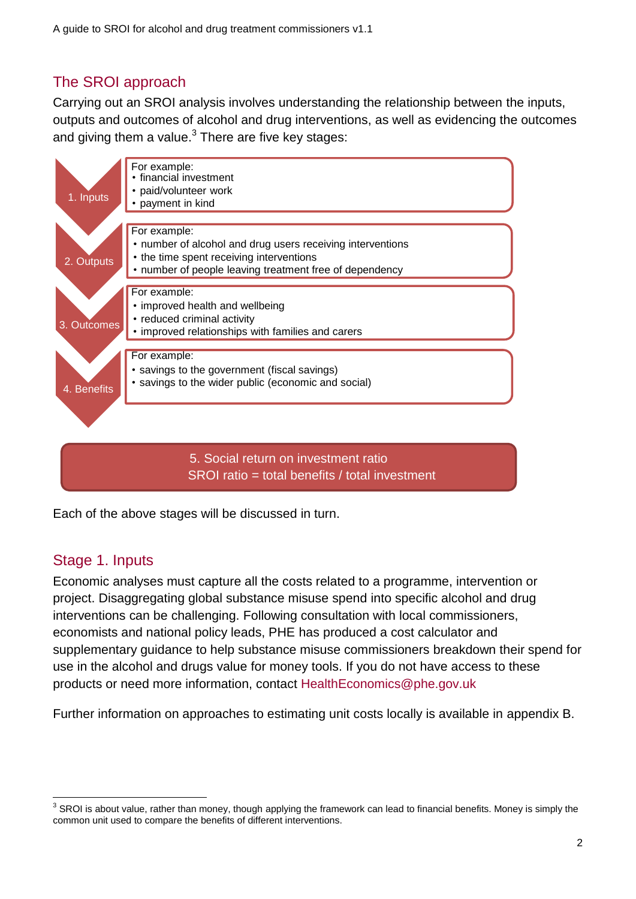## The SROI approach

Carrying out an SROI analysis involves understanding the relationship between the inputs, outputs and outcomes of alcohol and drug interventions, as well as evidencing the outcomes and giving them a value. $^3$  There are five key stages:



5. Social return on investment ratio SROI ratio = total benefits / total investment

Each of the above stages will be discussed in turn.

## Stage 1. Inputs

 $\overline{a}$ 

Economic analyses must capture all the costs related to a programme, intervention or project. Disaggregating global substance misuse spend into specific alcohol and drug interventions can be challenging. Following consultation with local commissioners, economists and national policy leads, PHE has produced a cost calculator and supplementary guidance to help substance misuse commissioners breakdown their spend for use in the alcohol and drugs value for money tools. If you do not have access to these products or need more information, contact [HealthEconomics@phe.gov.uk](mailto:HealthEconomics@phe.gov.uk)

Further information on approaches to estimating unit costs locally is available in appendix B.

 $3$  SROI is about value, rather than money, though applying the framework can lead to financial benefits. Money is simply the common unit used to compare the benefits of different interventions.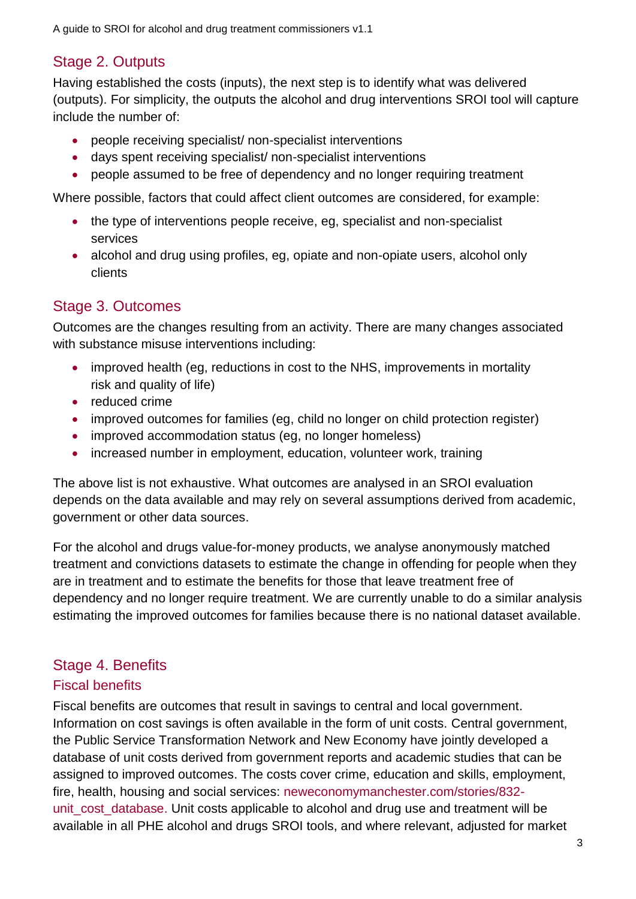## Stage 2. Outputs

Having established the costs (inputs), the next step is to identify what was delivered (outputs). For simplicity, the outputs the alcohol and drug interventions SROI tool will capture include the number of:

- people receiving specialist/ non-specialist interventions
- days spent receiving specialist/ non-specialist interventions
- people assumed to be free of dependency and no longer requiring treatment

Where possible, factors that could affect client outcomes are considered, for example:

- the type of interventions people receive, eg, specialist and non-specialist services
- alcohol and drug using profiles, eg, opiate and non-opiate users, alcohol only clients

## Stage 3. Outcomes

Outcomes are the changes resulting from an activity. There are many changes associated with substance misuse interventions including:

- improved health (eg, reductions in cost to the NHS, improvements in mortality risk and quality of life)
- reduced crime
- improved outcomes for families (eg, child no longer on child protection register)
- improved accommodation status (eg, no longer homeless)
- increased number in employment, education, volunteer work, training

The above list is not exhaustive. What outcomes are analysed in an SROI evaluation depends on the data available and may rely on several assumptions derived from academic, government or other data sources.

For the alcohol and drugs value-for-money products, we analyse anonymously matched treatment and convictions datasets to estimate the change in offending for people when they are in treatment and to estimate the benefits for those that leave treatment free of dependency and no longer require treatment. We are currently unable to do a similar analysis estimating the improved outcomes for families because there is no national dataset available.

### Stage 4. Benefits Fiscal benefits

Fiscal benefits are outcomes that result in savings to central and local government. Information on cost savings is often available in the form of unit costs. Central government, the Public Service Transformation Network and New Economy have jointly developed a database of unit costs derived from government reports and academic studies that can be assigned to improved outcomes. The costs cover crime, education and skills, employment, fire, health, housing and social services: [neweconomymanchester.com/stories/832](http://neweconomymanchester.com/stories/832-unit_cost_database) unit cost database. Unit costs applicable to alcohol and drug use and treatment will be available in all PHE alcohol and drugs SROI tools, and where relevant, adjusted for market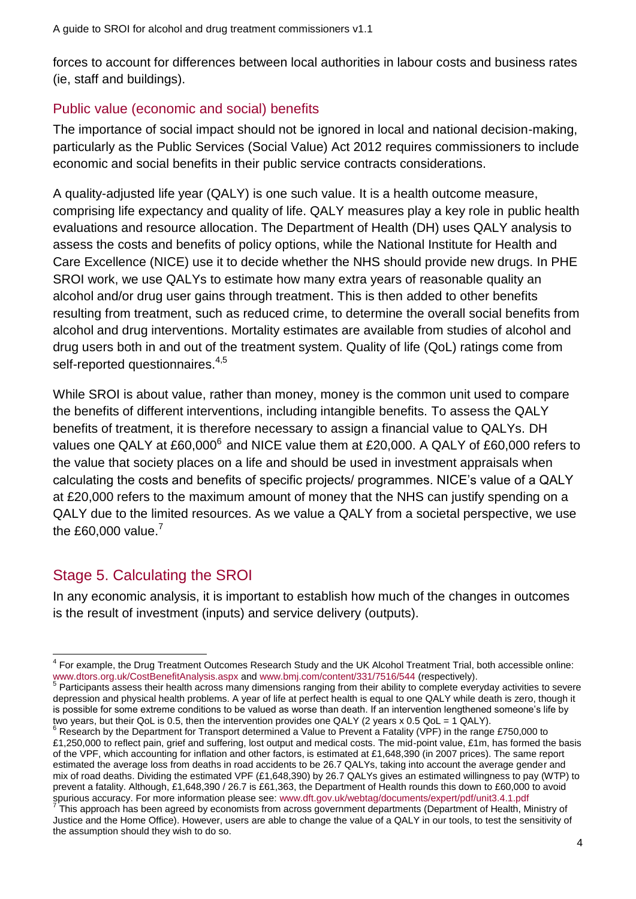forces to account for differences between local authorities in labour costs and business rates (ie, staff and buildings).

#### Public value (economic and social) benefits

The importance of social impact should not be ignored in local and national decision-making, particularly as the Public Services (Social Value) Act 2012 requires commissioners to include economic and social benefits in their public service contracts considerations.

A quality-adjusted life year (QALY) is one such value. It is a health outcome measure, comprising life expectancy and quality of life. QALY measures play a key role in public health evaluations and resource allocation. The Department of Health (DH) uses QALY analysis to assess the costs and benefits of policy options, while the National Institute for Health and Care Excellence (NICE) use it to decide whether the NHS should provide new drugs. In PHE SROI work, we use QALYs to estimate how many extra years of reasonable quality an alcohol and/or drug user gains through treatment. This is then added to other benefits resulting from treatment, such as reduced crime, to determine the overall social benefits from alcohol and drug interventions. Mortality estimates are available from studies of alcohol and drug users both in and out of the treatment system. Quality of life (QoL) ratings come from self-reported questionnaires.<sup>4,5</sup>

While SROI is about value, rather than money, money is the common unit used to compare the benefits of different interventions, including intangible benefits. To assess the QALY benefits of treatment, it is therefore necessary to assign a financial value to QALYs. DH values one QALY at  $£60,000^6$  and NICE value them at £20,000. A QALY of £60,000 refers to the value that society places on a life and should be used in investment appraisals when calculating the costs and benefits of specific projects/ programmes. NICE's value of a QALY at £20,000 refers to the maximum amount of money that the NHS can justify spending on a QALY due to the limited resources. As we value a QALY from a societal perspective, we use the £60,000 value. $^7$ 

## Stage 5. Calculating the SROI

In any economic analysis, it is important to establish how much of the changes in outcomes is the result of investment (inputs) and service delivery (outputs).

 4 For example, the Drug Treatment Outcomes Research Study and the UK Alcohol Treatment Trial, both accessible online:

[www.dtors.org.uk/CostBenefitAnalysis.aspx](file:///C:/Users/virginia.musto/AppData/Local/Microsoft/Windows/Temporary%20Internet%20Files/Content.Outlook/D0O0VCG1/www.dtors.org.uk/CostBenefitAnalysis.aspx) and [www.bmj.com/content/331/7516/544](file:///C:/Users/virginia.musto/AppData/Local/Microsoft/Windows/Temporary%20Internet%20Files/Content.Outlook/D0O0VCG1/www.bmj.com/content/331/7516/544) (respectively).<br><sup>5</sup> Participants assess their health across many dimensions ranging from their ability to complete everyday activities to sever depression and physical health problems. A year of life at perfect health is equal to one QALY while death is zero, though it is possible for some extreme conditions to be valued as worse than death. If an intervention lengthened someone's life by two years, but their QoL is 0.5, then the intervention provides one QALY (2 years x 0.5 QoL = 1 QALY).

<sup>6</sup> Research by the Department for Transport determined a Value to Prevent a Fatality (VPF) in the range £750,000 to £1,250,000 to reflect pain, grief and suffering, lost output and medical costs. The mid-point value, £1m, has formed the basis of the VPF, which accounting for inflation and other factors, is estimated at £1,648,390 (in 2007 prices). The same report estimated the average loss from deaths in road accidents to be 26.7 QALYs, taking into account the average gender and mix of road deaths. Dividing the estimated VPF (£1,648,390) by 26.7 QALYs gives an estimated willingness to pay (WTP) to prevent a fatality. Although, £1,648,390 / 26.7 is £61,363, the Department of Health rounds this down to £60,000 to avoid spurious accuracy. For more information please see[: www.dft.gov.uk/webtag/documents/expert/pdf/unit3.4.1.pdf](file:///C:/Users/virginia.musto/AppData/Local/Microsoft/Windows/Temporary%20Internet%20Files/Content.Outlook/D0O0VCG1/www.dft.gov.uk/webtag/documents/expert/pdf/unit3.4.1.pdf)<br><sup>7</sup> This appreach has been agreed by secondmists from agrees government departments (Department of Haelth, N

This approach has been agreed by economists from across government departments (Department of Health, Ministry of Justice and the Home Office). However, users are able to change the value of a QALY in our tools, to test the sensitivity of the assumption should they wish to do so.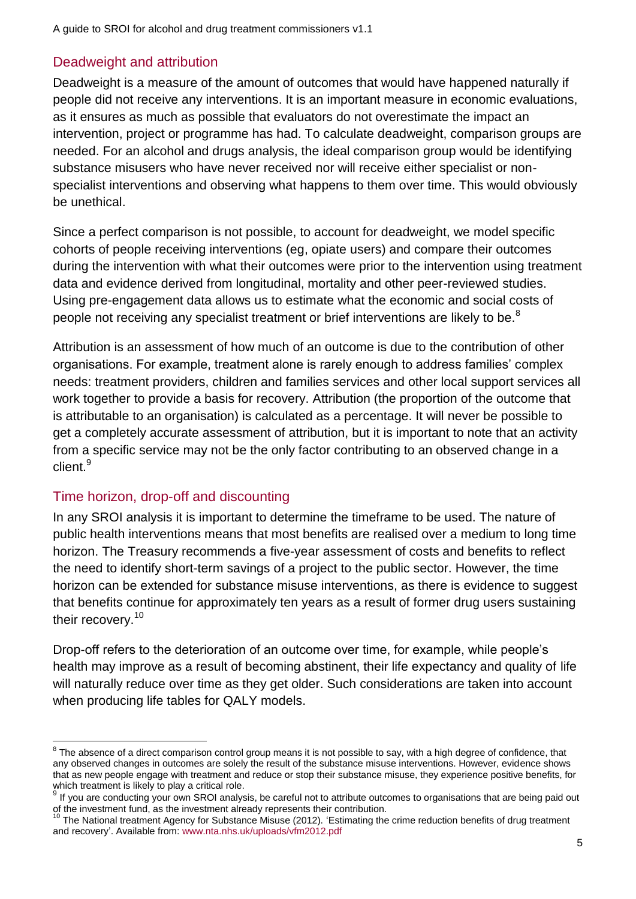#### Deadweight and attribution

Deadweight is a measure of the amount of outcomes that would have happened naturally if people did not receive any interventions. It is an important measure in economic evaluations, as it ensures as much as possible that evaluators do not overestimate the impact an intervention, project or programme has had. To calculate deadweight, comparison groups are needed. For an alcohol and drugs analysis, the ideal comparison group would be identifying substance misusers who have never received nor will receive either specialist or nonspecialist interventions and observing what happens to them over time. This would obviously be unethical.

Since a perfect comparison is not possible, to account for deadweight, we model specific cohorts of people receiving interventions (eg, opiate users) and compare their outcomes during the intervention with what their outcomes were prior to the intervention using treatment data and evidence derived from longitudinal, mortality and other peer-reviewed studies. Using pre-engagement data allows us to estimate what the economic and social costs of people not receiving any specialist treatment or brief interventions are likely to be.<sup>8</sup>

Attribution is an assessment of how much of an outcome is due to the contribution of other organisations. For example, treatment alone is rarely enough to address families' complex needs: treatment providers, children and families services and other local support services all work together to provide a basis for recovery. Attribution (the proportion of the outcome that is attributable to an organisation) is calculated as a percentage. It will never be possible to get a completely accurate assessment of attribution, but it is important to note that an activity from a specific service may not be the only factor contributing to an observed change in a client.<sup>9</sup>

#### Time horizon, drop-off and discounting

 $\overline{a}$ 

In any SROI analysis it is important to determine the timeframe to be used. The nature of public health interventions means that most benefits are realised over a medium to long time horizon. The Treasury recommends a five-year assessment of costs and benefits to reflect the need to identify short-term savings of a project to the public sector. However, the time horizon can be extended for substance misuse interventions, as there is evidence to suggest that benefits continue for approximately ten years as a result of former drug users sustaining their recovery.<sup>10</sup>

Drop-off refers to the deterioration of an outcome over time, for example, while people's health may improve as a result of becoming abstinent, their life expectancy and quality of life will naturally reduce over time as they get older. Such considerations are taken into account when producing life tables for QALY models.

 $^8$  The absence of a direct comparison control group means it is not possible to say, with a high degree of confidence, that any observed changes in outcomes are solely the result of the substance misuse interventions. However, evidence shows that as new people engage with treatment and reduce or stop their substance misuse, they experience positive benefits, for which treatment is likely to play a critical role.<br><sup>9</sup> If you are conducting your own SROI analysis, be careful not to attribute outcomes to organisations that are being paid out

of the investment fund, as the investment already represents their contribution.

 $10$  The National treatment Agency for Substance Misuse (2012). 'Estimating the crime reduction benefits of drug treatment and recovery'. Available from[: www.nta.nhs.uk/uploads/vfm2012.pdf](http://www.nta.nhs.uk/uploads/vfm2012.pdf)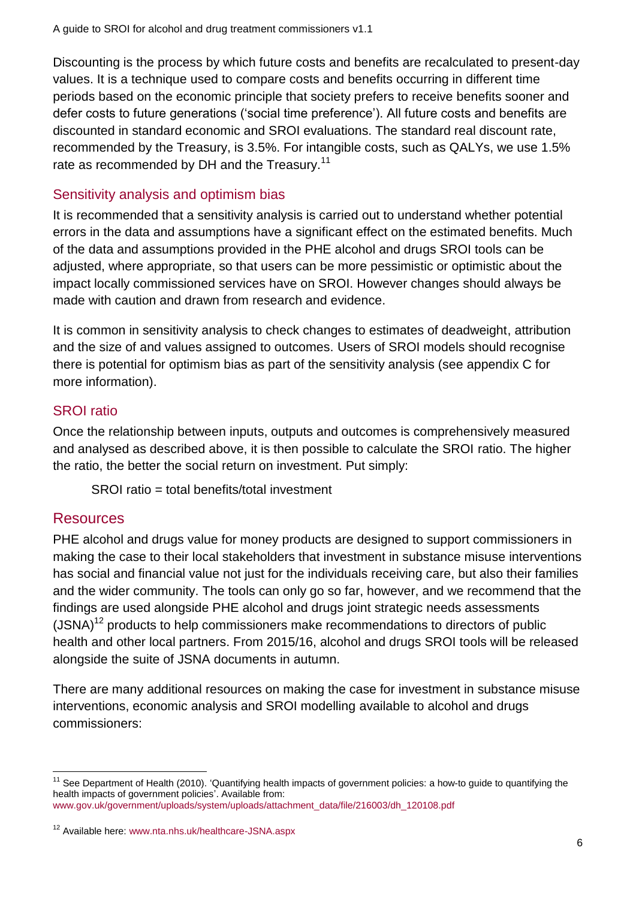Discounting is the process by which future costs and benefits are recalculated to present-day values. It is a technique used to compare costs and benefits occurring in different time periods based on the economic principle that society prefers to receive benefits sooner and defer costs to future generations ('social time preference'). All future costs and benefits are discounted in standard economic and SROI evaluations. The standard real discount rate, recommended by the Treasury, is 3.5%. For intangible costs, such as QALYs, we use 1.5% rate as recommended by DH and the Treasury.<sup>11</sup>

#### Sensitivity analysis and optimism bias

It is recommended that a sensitivity analysis is carried out to understand whether potential errors in the data and assumptions have a significant effect on the estimated benefits. Much of the data and assumptions provided in the PHE alcohol and drugs SROI tools can be adjusted, where appropriate, so that users can be more pessimistic or optimistic about the impact locally commissioned services have on SROI. However changes should always be made with caution and drawn from research and evidence.

It is common in sensitivity analysis to check changes to estimates of deadweight, attribution and the size of and values assigned to outcomes. Users of SROI models should recognise there is potential for optimism bias as part of the sensitivity analysis (see appendix C for more information).

#### SROI ratio

Once the relationship between inputs, outputs and outcomes is comprehensively measured and analysed as described above, it is then possible to calculate the SROI ratio. The higher the ratio, the better the social return on investment. Put simply:

SROI ratio = total benefits/total investment

#### **Resources**

PHE alcohol and drugs value for money products are designed to support commissioners in making the case to their local stakeholders that investment in substance misuse interventions has social and financial value not just for the individuals receiving care, but also their families and the wider community. The tools can only go so far, however, and we recommend that the findings are used alongside PHE alcohol and drugs joint strategic needs assessments  $(JSNA)^{12}$  products to help commissioners make recommendations to directors of public health and other local partners. From 2015/16, alcohol and drugs SROI tools will be released alongside the suite of JSNA documents in autumn.

There are many additional resources on making the case for investment in substance misuse interventions, economic analysis and SROI modelling available to alcohol and drugs commissioners:

[www.gov.uk/government/uploads/system/uploads/attachment\\_data/file/216003/dh\\_120108.pdf](https://www.gov.uk/government/uploads/system/uploads/attachment_data/file/216003/dh_120108.pdf)

 $\overline{a}$  $11$  See Department of Health (2010). 'Quantifying health impacts of government policies: a how-to guide to quantifying the health impacts of government policies'. Available from:

<sup>&</sup>lt;sup>12</sup> Available here: [www.nta.nhs.uk/healthcare-JSNA.aspx](http://www.nta.nhs.uk/healthcare-JSNA.aspx)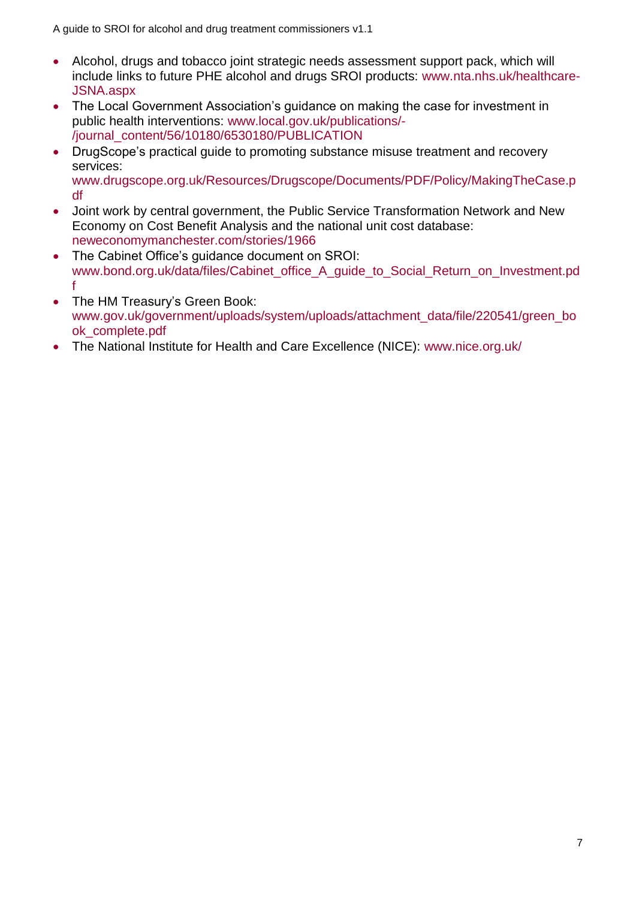- Alcohol, drugs and tobacco joint strategic needs assessment support pack, which will include links to future PHE alcohol and drugs SROI products: [www.nta.nhs.uk/healthcare-](http://www.nta.nhs.uk/healthcare-JSNA.aspx)[JSNA.aspx](http://www.nta.nhs.uk/healthcare-JSNA.aspx)
- The Local Government Association's guidance on making the case for investment in public health interventions: [www.local.gov.uk/publications/-](http://www.local.gov.uk/publications/-/journal_content/56/10180/6530180/PUBLICATION) [/journal\\_content/56/10180/6530180/PUBLICATION](http://www.local.gov.uk/publications/-/journal_content/56/10180/6530180/PUBLICATION)
- DrugScope's practical guide to promoting substance misuse treatment and recovery services: [www.drugscope.org.uk/Resources/Drugscope/Documents/PDF/Policy/MakingTheCase.p](http://www.drugscope.org.uk/Resources/Drugscope/Documents/PDF/Policy/MakingTheCase.pdf) [df](http://www.drugscope.org.uk/Resources/Drugscope/Documents/PDF/Policy/MakingTheCase.pdf)
- Joint work by central government, the Public Service Transformation Network and New Economy on Cost Benefit Analysis and the national unit cost database: [neweconomymanchester.com/stories/1966](http://neweconomymanchester.com/stories/1966)
- The Cabinet Office's guidance document on SROI: [www.bond.org.uk/data/files/Cabinet\\_office\\_A\\_guide\\_to\\_Social\\_Return\\_on\\_Investment.pd](http://www.bond.org.uk/data/files/Cabinet_office_A_guide_to_Social_Return_on_Investment.pdf) [f](http://www.bond.org.uk/data/files/Cabinet_office_A_guide_to_Social_Return_on_Investment.pdf)
- The HM Treasury's Green Book: [www.gov.uk/government/uploads/system/uploads/attachment\\_data/file/220541/green\\_bo](https://www.gov.uk/government/uploads/system/uploads/attachment_data/file/220541/green_book_complete.pdf) [ok\\_complete.pdf](https://www.gov.uk/government/uploads/system/uploads/attachment_data/file/220541/green_book_complete.pdf)
- The National Institute for Health and Care Excellence (NICE): [www.nice.org.uk/](http://www.nice.org.uk/)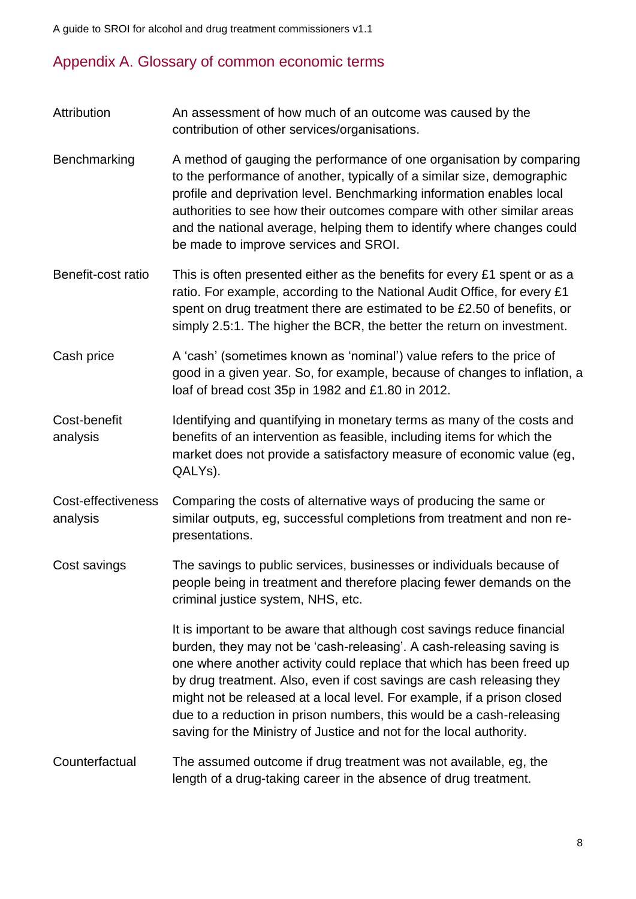# Appendix A. Glossary of common economic terms

| Attribution                    | An assessment of how much of an outcome was caused by the<br>contribution of other services/organisations.                                                                                                                                                                                                                                                                                                                                                                                                                  |
|--------------------------------|-----------------------------------------------------------------------------------------------------------------------------------------------------------------------------------------------------------------------------------------------------------------------------------------------------------------------------------------------------------------------------------------------------------------------------------------------------------------------------------------------------------------------------|
| Benchmarking                   | A method of gauging the performance of one organisation by comparing<br>to the performance of another, typically of a similar size, demographic<br>profile and deprivation level. Benchmarking information enables local<br>authorities to see how their outcomes compare with other similar areas<br>and the national average, helping them to identify where changes could<br>be made to improve services and SROI.                                                                                                       |
| Benefit-cost ratio             | This is often presented either as the benefits for every £1 spent or as a<br>ratio. For example, according to the National Audit Office, for every £1<br>spent on drug treatment there are estimated to be £2.50 of benefits, or<br>simply 2.5:1. The higher the BCR, the better the return on investment.                                                                                                                                                                                                                  |
| Cash price                     | A 'cash' (sometimes known as 'nominal') value refers to the price of<br>good in a given year. So, for example, because of changes to inflation, a<br>loaf of bread cost 35p in 1982 and £1.80 in 2012.                                                                                                                                                                                                                                                                                                                      |
| Cost-benefit<br>analysis       | Identifying and quantifying in monetary terms as many of the costs and<br>benefits of an intervention as feasible, including items for which the<br>market does not provide a satisfactory measure of economic value (eg,<br>QALYS).                                                                                                                                                                                                                                                                                        |
| Cost-effectiveness<br>analysis | Comparing the costs of alternative ways of producing the same or<br>similar outputs, eg, successful completions from treatment and non re-<br>presentations.                                                                                                                                                                                                                                                                                                                                                                |
| Cost savings                   | The savings to public services, businesses or individuals because of<br>people being in treatment and therefore placing fewer demands on the<br>criminal justice system, NHS, etc.                                                                                                                                                                                                                                                                                                                                          |
|                                | It is important to be aware that although cost savings reduce financial<br>burden, they may not be 'cash-releasing'. A cash-releasing saving is<br>one where another activity could replace that which has been freed up<br>by drug treatment. Also, even if cost savings are cash releasing they<br>might not be released at a local level. For example, if a prison closed<br>due to a reduction in prison numbers, this would be a cash-releasing<br>saving for the Ministry of Justice and not for the local authority. |
| Counterfactual                 | The assumed outcome if drug treatment was not available, eg, the<br>length of a drug-taking career in the absence of drug treatment.                                                                                                                                                                                                                                                                                                                                                                                        |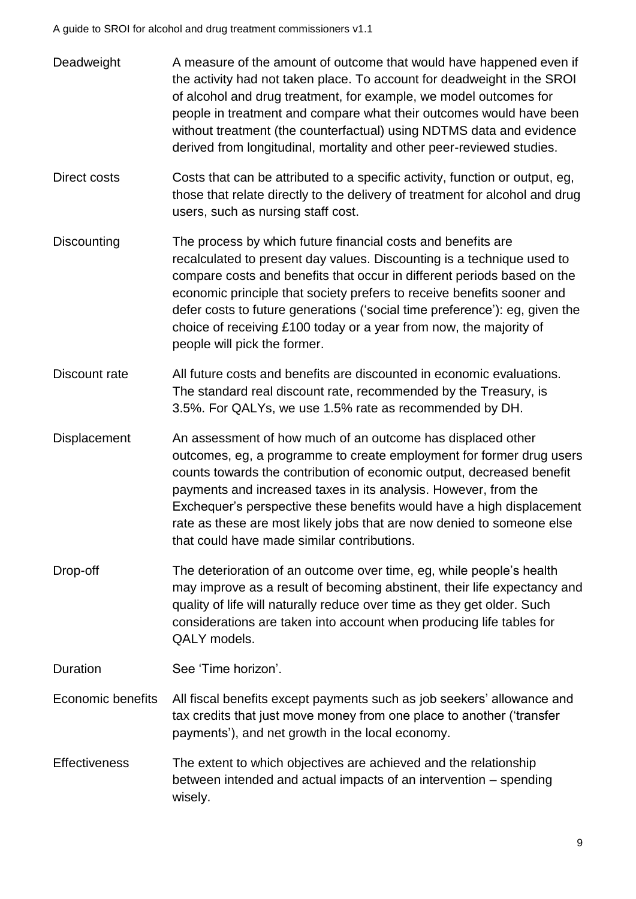| Deadweight               | A measure of the amount of outcome that would have happened even if<br>the activity had not taken place. To account for deadweight in the SROI<br>of alcohol and drug treatment, for example, we model outcomes for<br>people in treatment and compare what their outcomes would have been<br>without treatment (the counterfactual) using NDTMS data and evidence<br>derived from longitudinal, mortality and other peer-reviewed studies.                                       |  |  |  |
|--------------------------|-----------------------------------------------------------------------------------------------------------------------------------------------------------------------------------------------------------------------------------------------------------------------------------------------------------------------------------------------------------------------------------------------------------------------------------------------------------------------------------|--|--|--|
| Direct costs             | Costs that can be attributed to a specific activity, function or output, eg,<br>those that relate directly to the delivery of treatment for alcohol and drug<br>users, such as nursing staff cost.                                                                                                                                                                                                                                                                                |  |  |  |
| Discounting              | The process by which future financial costs and benefits are<br>recalculated to present day values. Discounting is a technique used to<br>compare costs and benefits that occur in different periods based on the<br>economic principle that society prefers to receive benefits sooner and<br>defer costs to future generations ('social time preference'): eg, given the<br>choice of receiving £100 today or a year from now, the majority of<br>people will pick the former.  |  |  |  |
| Discount rate            | All future costs and benefits are discounted in economic evaluations.<br>The standard real discount rate, recommended by the Treasury, is<br>3.5%. For QALYs, we use 1.5% rate as recommended by DH.                                                                                                                                                                                                                                                                              |  |  |  |
| Displacement             | An assessment of how much of an outcome has displaced other<br>outcomes, eg, a programme to create employment for former drug users<br>counts towards the contribution of economic output, decreased benefit<br>payments and increased taxes in its analysis. However, from the<br>Exchequer's perspective these benefits would have a high displacement<br>rate as these are most likely jobs that are now denied to someone else<br>that could have made similar contributions. |  |  |  |
| Drop-off                 | The deterioration of an outcome over time, eg, while people's health<br>may improve as a result of becoming abstinent, their life expectancy and<br>quality of life will naturally reduce over time as they get older. Such<br>considerations are taken into account when producing life tables for<br>QALY models.                                                                                                                                                               |  |  |  |
| Duration                 | See 'Time horizon'.                                                                                                                                                                                                                                                                                                                                                                                                                                                               |  |  |  |
| <b>Economic benefits</b> | All fiscal benefits except payments such as job seekers' allowance and<br>tax credits that just move money from one place to another ('transfer<br>payments'), and net growth in the local economy.                                                                                                                                                                                                                                                                               |  |  |  |
| <b>Effectiveness</b>     | The extent to which objectives are achieved and the relationship<br>between intended and actual impacts of an intervention – spending<br>wisely.                                                                                                                                                                                                                                                                                                                                  |  |  |  |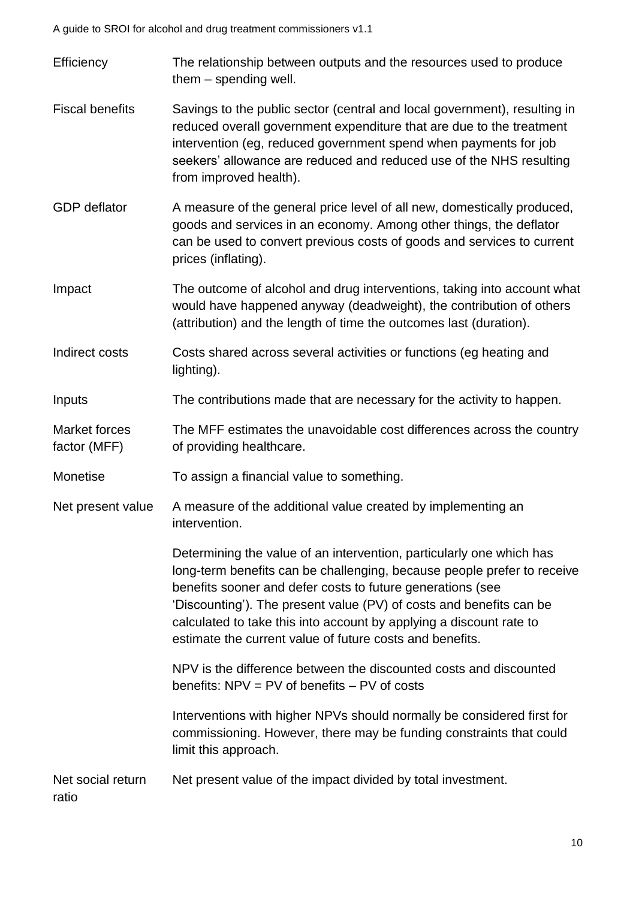- Efficiency The relationship between outputs and the resources used to produce them – spending well.
- Fiscal benefits Savings to the public sector (central and local government), resulting in reduced overall government expenditure that are due to the treatment intervention (eg, reduced government spend when payments for job seekers' allowance are reduced and reduced use of the NHS resulting from improved health).
- GDP deflator A measure of the general price level of all new, domestically produced, goods and services in an economy. Among other things, the deflator can be used to convert previous costs of goods and services to current prices (inflating).
- Impact The outcome of alcohol and drug interventions, taking into account what would have happened anyway (deadweight), the contribution of others (attribution) and the length of time the outcomes last (duration).
- Indirect costs Costs shared across several activities or functions (eg heating and lighting).
- Inputs The contributions made that are necessary for the activity to happen.
- Market forces factor (MFF) The MFF estimates the unavoidable cost differences across the country of providing healthcare.
- Monetise To assign a financial value to something.
- Net present value A measure of the additional value created by implementing an intervention.

Determining the value of an intervention, particularly one which has long-term benefits can be challenging, because people prefer to receive benefits sooner and defer costs to future generations (see 'Discounting'). The present value (PV) of costs and benefits can be calculated to take this into account by applying a discount rate to estimate the current value of future costs and benefits.

NPV is the difference between the discounted costs and discounted benefits: NPV = PV of benefits – PV of costs

Interventions with higher NPVs should normally be considered first for commissioning. However, there may be funding constraints that could limit this approach.

Net social return Net present value of the impact divided by total investment.

ratio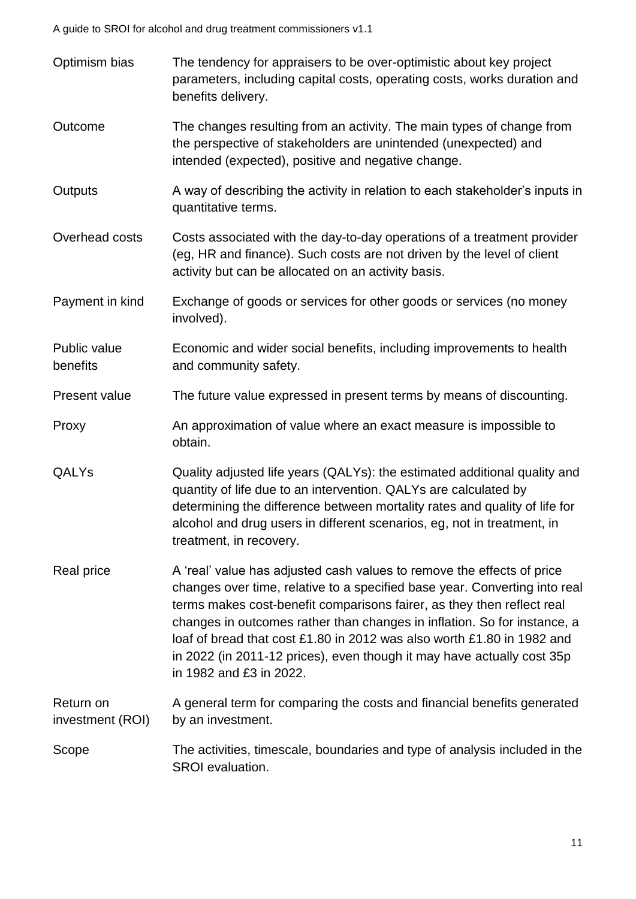- Optimism bias The tendency for appraisers to be over-optimistic about key project parameters, including capital costs, operating costs, works duration and benefits delivery.
- Outcome The changes resulting from an activity. The main types of change from the perspective of stakeholders are unintended (unexpected) and intended (expected), positive and negative change.
- Outputs A way of describing the activity in relation to each stakeholder's inputs in quantitative terms.
- Overhead costs Costs associated with the day-to-day operations of a treatment provider (eg, HR and finance). Such costs are not driven by the level of client activity but can be allocated on an activity basis.
- Payment in kind Exchange of goods or services for other goods or services (no money involved).
- Public value benefits Economic and wider social benefits, including improvements to health and community safety.
- Present value The future value expressed in present terms by means of discounting.
- Proxy An approximation of value where an exact measure is impossible to obtain.
- QALYs Quality adjusted life years (QALYs): the estimated additional quality and quantity of life due to an intervention. QALYs are calculated by determining the difference between mortality rates and quality of life for alcohol and drug users in different scenarios, eg, not in treatment, in treatment, in recovery.
- Real price A 'real' value has adjusted cash values to remove the effects of price changes over time, relative to a specified base year. Converting into real terms makes cost-benefit comparisons fairer, as they then reflect real changes in outcomes rather than changes in inflation. So for instance, a loaf of bread that cost £1.80 in 2012 was also worth £1.80 in 1982 and in 2022 (in 2011-12 prices), even though it may have actually cost 35p in 1982 and £3 in 2022.

Return on investment (ROI) A general term for comparing the costs and financial benefits generated by an investment.

Scope The activities, timescale, boundaries and type of analysis included in the SROI evaluation.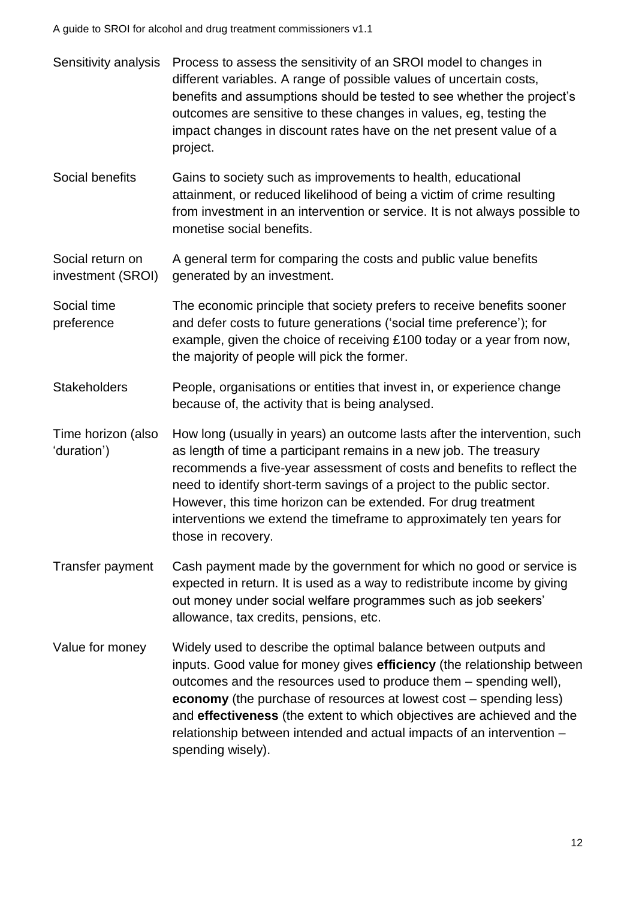| Sensitivity analysis                  | Process to assess the sensitivity of an SROI model to changes in<br>different variables. A range of possible values of uncertain costs,<br>benefits and assumptions should be tested to see whether the project's<br>outcomes are sensitive to these changes in values, eg, testing the<br>impact changes in discount rates have on the net present value of a<br>project.                                                                                          |  |  |
|---------------------------------------|---------------------------------------------------------------------------------------------------------------------------------------------------------------------------------------------------------------------------------------------------------------------------------------------------------------------------------------------------------------------------------------------------------------------------------------------------------------------|--|--|
| Social benefits                       | Gains to society such as improvements to health, educational<br>attainment, or reduced likelihood of being a victim of crime resulting<br>from investment in an intervention or service. It is not always possible to<br>monetise social benefits.                                                                                                                                                                                                                  |  |  |
| Social return on<br>investment (SROI) | A general term for comparing the costs and public value benefits<br>generated by an investment.                                                                                                                                                                                                                                                                                                                                                                     |  |  |
| Social time<br>preference             | The economic principle that society prefers to receive benefits sooner<br>and defer costs to future generations ('social time preference'); for<br>example, given the choice of receiving £100 today or a year from now,<br>the majority of people will pick the former.                                                                                                                                                                                            |  |  |
| Stakeholders                          | People, organisations or entities that invest in, or experience change<br>because of, the activity that is being analysed.                                                                                                                                                                                                                                                                                                                                          |  |  |
| Time horizon (also<br>'duration')     | How long (usually in years) an outcome lasts after the intervention, such<br>as length of time a participant remains in a new job. The treasury<br>recommends a five-year assessment of costs and benefits to reflect the<br>need to identify short-term savings of a project to the public sector.<br>However, this time horizon can be extended. For drug treatment<br>interventions we extend the timeframe to approximately ten years for<br>those in recovery. |  |  |
| Transfer payment                      | Cash payment made by the government for which no good or service is<br>expected in return. It is used as a way to redistribute income by giving<br>out money under social welfare programmes such as job seekers'<br>allowance, tax credits, pensions, etc.                                                                                                                                                                                                         |  |  |
| Value for money                       | Widely used to describe the optimal balance between outputs and<br>inputs. Good value for money gives efficiency (the relationship between<br>outcomes and the resources used to produce them - spending well),<br>economy (the purchase of resources at lowest cost - spending less)<br>and effectiveness (the extent to which objectives are achieved and the<br>relationship between intended and actual impacts of an intervention -<br>spending wisely).       |  |  |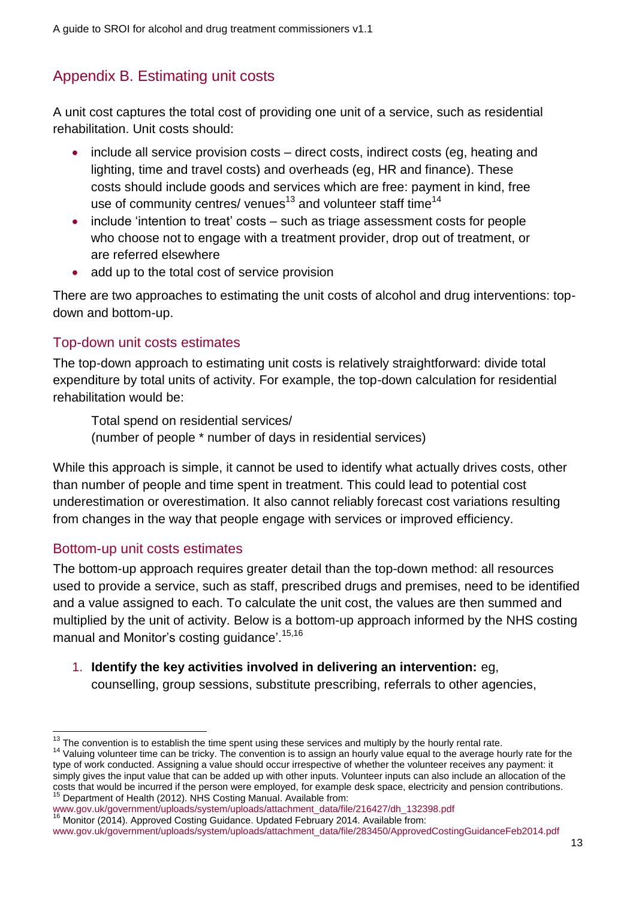## Appendix B. Estimating unit costs

A unit cost captures the total cost of providing one unit of a service, such as residential rehabilitation. Unit costs should:

- include all service provision costs direct costs, indirect costs (eg, heating and lighting, time and travel costs) and overheads (eg, HR and finance). These costs should include goods and services which are free: payment in kind, free use of community centres/ venues<sup>13</sup> and volunteer staff time<sup>14</sup>
- include 'intention to treat' costs such as triage assessment costs for people who choose not to engage with a treatment provider, drop out of treatment, or are referred elsewhere
- add up to the total cost of service provision

There are two approaches to estimating the unit costs of alcohol and drug interventions: topdown and bottom-up.

### Top-down unit costs estimates

The top-down approach to estimating unit costs is relatively straightforward: divide total expenditure by total units of activity. For example, the top-down calculation for residential rehabilitation would be:

Total spend on residential services/ (number of people \* number of days in residential services)

While this approach is simple, it cannot be used to identify what actually drives costs, other than number of people and time spent in treatment. This could lead to potential cost underestimation or overestimation. It also cannot reliably forecast cost variations resulting from changes in the way that people engage with services or improved efficiency.

#### Bottom-up unit costs estimates

The bottom-up approach requires greater detail than the top-down method: all resources used to provide a service, such as staff, prescribed drugs and premises, need to be identified and a value assigned to each. To calculate the unit cost, the values are then summed and multiplied by the unit of activity. Below is a bottom-up approach informed by the NHS costing manual and Monitor's costing guidance'.<sup>15,16</sup>

1. **Identify the key activities involved in delivering an intervention:** eg, counselling, group sessions, substitute prescribing, referrals to other agencies,

 $\overline{a}$  $13$  The convention is to establish the time spent using these services and multiply by the hourly rental rate.

<sup>&</sup>lt;sup>14</sup> Valuing volunteer time can be tricky. The convention is to assign an hourly value equal to the average hourly rate for the type of work conducted. Assigning a value should occur irrespective of whether the volunteer receives any payment: it simply gives the input value that can be added up with other inputs. Volunteer inputs can also include an allocation of the costs that would be incurred if the person were employed, for example desk space, electricity and pension contributions.

 $15$  Department of Health (2012). NHS Costing Manual. Available from:

[www.gov.uk/government/uploads/system/uploads/attachment\\_data/file/216427/dh\\_132398.pdf](https://www.gov.uk/government/uploads/system/uploads/attachment_data/file/216427/dh_132398.pdf) <sup>16</sup> Monitor (2014). Approved Costing Guidance. Updated February 2014. Available from:

[www.gov.uk/government/uploads/system/uploads/attachment\\_data/file/283450/ApprovedCostingGuidanceFeb2014.pdf](https://www.gov.uk/government/uploads/system/uploads/attachment_data/file/283450/ApprovedCostingGuidanceFeb2014.pdf)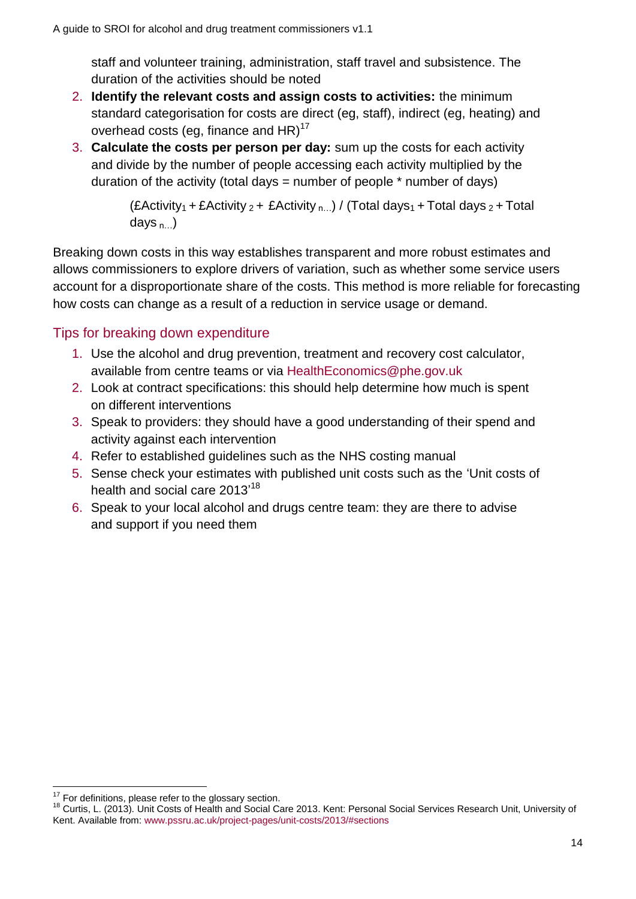staff and volunteer training, administration, staff travel and subsistence. The duration of the activities should be noted

- 2. **Identify the relevant costs and assign costs to activities:** the minimum standard categorisation for costs are direct (eg, staff), indirect (eg, heating) and overhead costs (eq. finance and  $HR$ )<sup>17</sup>
- 3. **Calculate the costs per person per day:** sum up the costs for each activity and divide by the number of people accessing each activity multiplied by the duration of the activity (total days = number of people  $*$  number of days)

 $(£Activity<sub>1</sub> + £Activity<sub>2</sub> + £Activity<sub>1</sub> + £Activity<sub>2</sub> + £Activity<sub>n...</sub>) / (Total days<sub>1</sub> + Total days<sub>2</sub> + Total$ days  $n$ ...)

Breaking down costs in this way establishes transparent and more robust estimates and allows commissioners to explore drivers of variation, such as whether some service users account for a disproportionate share of the costs. This method is more reliable for forecasting how costs can change as a result of a reduction in service usage or demand.

## Tips for breaking down expenditure

- 1. Use the alcohol and drug prevention, treatment and recovery cost calculator, available from centre teams or via [HealthEconomics@phe.gov.uk](mailto:HealthEconomics@phe.gov.uk)
- 2. Look at contract specifications: this should help determine how much is spent on different interventions
- 3. Speak to providers: they should have a good understanding of their spend and activity against each intervention
- 4. Refer to established guidelines such as the NHS costing manual
- 5. Sense check your estimates with published unit costs such as the 'Unit costs of health and social care 2013' $^{\rm 18}$
- 6. Speak to your local alcohol and drugs centre team: they are there to advise and support if you need them

 $\overline{a}$  $17$  For definitions, please refer to the glossary section.

<sup>18</sup> Curtis, L. (2013). Unit Costs of Health and Social Care 2013. Kent: Personal Social Services Research Unit, University of Kent. Available from: [www.pssru.ac.uk/project-pages/unit-costs/2013/#sections](http://www.pssru.ac.uk/project-pages/unit-costs/2013/#sections)